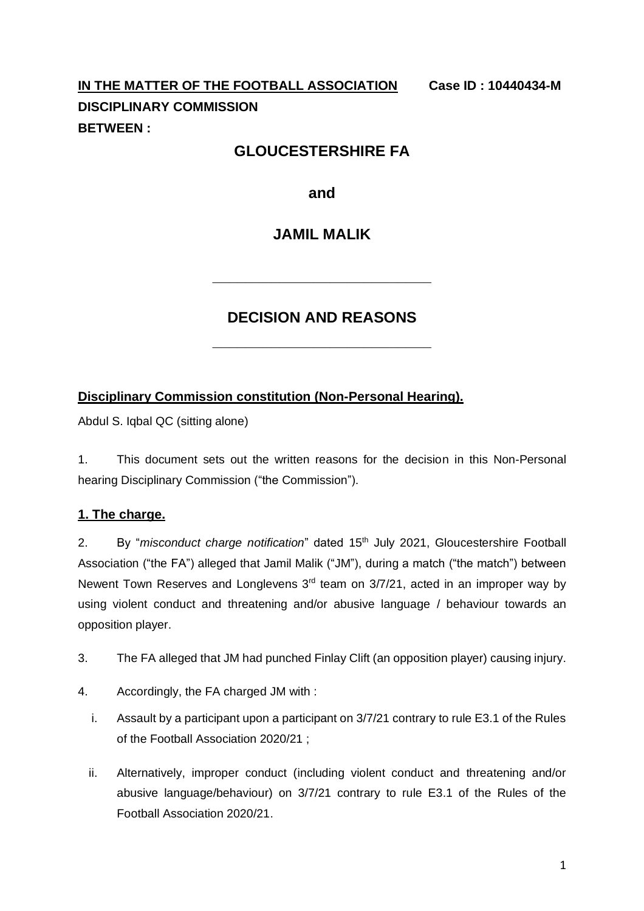# **IN THE MATTER OF THE FOOTBALL ASSOCIATION Case ID : 10440434-M DISCIPLINARY COMMISSION BETWEEN :**

# **GLOUCESTERSHIRE FA**

**and**

# **JAMIL MALIK**

# **DECISION AND REASONS**

**\_\_\_\_\_\_\_\_\_\_\_\_\_\_\_\_\_\_\_\_\_\_\_\_\_\_**

**\_\_\_\_\_\_\_\_\_\_\_\_\_\_\_\_\_\_\_\_\_\_\_\_\_\_**

#### **Disciplinary Commission constitution (Non-Personal Hearing).**

Abdul S. Iqbal QC (sitting alone)

1. This document sets out the written reasons for the decision in this Non-Personal hearing Disciplinary Commission ("the Commission").

#### **1. The charge.**

2. By "*misconduct charge notification*" dated 15th July 2021, Gloucestershire Football Association ("the FA") alleged that Jamil Malik ("JM"), during a match ("the match") between Newent Town Reserves and Longlevens 3rd team on 3/7/21, acted in an improper way by using violent conduct and threatening and/or abusive language / behaviour towards an opposition player.

- 3. The FA alleged that JM had punched Finlay Clift (an opposition player) causing injury.
- 4. Accordingly, the FA charged JM with :
	- i. Assault by a participant upon a participant on 3/7/21 contrary to rule E3.1 of the Rules of the Football Association 2020/21 ;
	- ii. Alternatively, improper conduct (including violent conduct and threatening and/or abusive language/behaviour) on 3/7/21 contrary to rule E3.1 of the Rules of the Football Association 2020/21.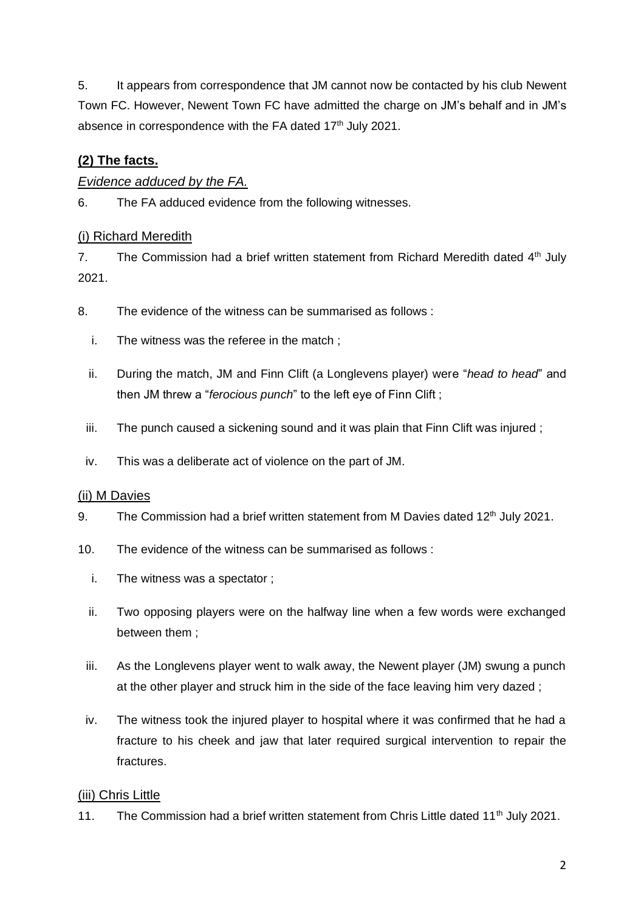5. It appears from correspondence that JM cannot now be contacted by his club Newent Town FC. However, Newent Town FC have admitted the charge on JM's behalf and in JM's absence in correspondence with the FA dated 17<sup>th</sup> July 2021.

# **(2) The facts.**

# *Evidence adduced by the FA.*

6. The FA adduced evidence from the following witnesses.

# (i) Richard Meredith

7. The Commission had a brief written statement from Richard Meredith dated  $4<sup>th</sup>$  July 2021.

- 8. The evidence of the witness can be summarised as follows :
	- i. The witness was the referee in the match ;
	- ii. During the match, JM and Finn Clift (a Longlevens player) were "*head to head*" and then JM threw a "*ferocious punch*" to the left eye of Finn Clift ;
	- iii. The punch caused a sickening sound and it was plain that Finn Clift was injured;
	- iv. This was a deliberate act of violence on the part of JM.

#### (ii) M Davies

- 9. The Commission had a brief written statement from M Davies dated  $12<sup>th</sup>$  July 2021.
- 10. The evidence of the witness can be summarised as follows :
	- i. The witness was a spectator ;
	- ii. Two opposing players were on the halfway line when a few words were exchanged between them ;
	- iii. As the Longlevens player went to walk away, the Newent player (JM) swung a punch at the other player and struck him in the side of the face leaving him very dazed ;
- iv. The witness took the injured player to hospital where it was confirmed that he had a fracture to his cheek and jaw that later required surgical intervention to repair the fractures.

#### (iii) Chris Little

11. The Commission had a brief written statement from Chris Little dated 11<sup>th</sup> July 2021.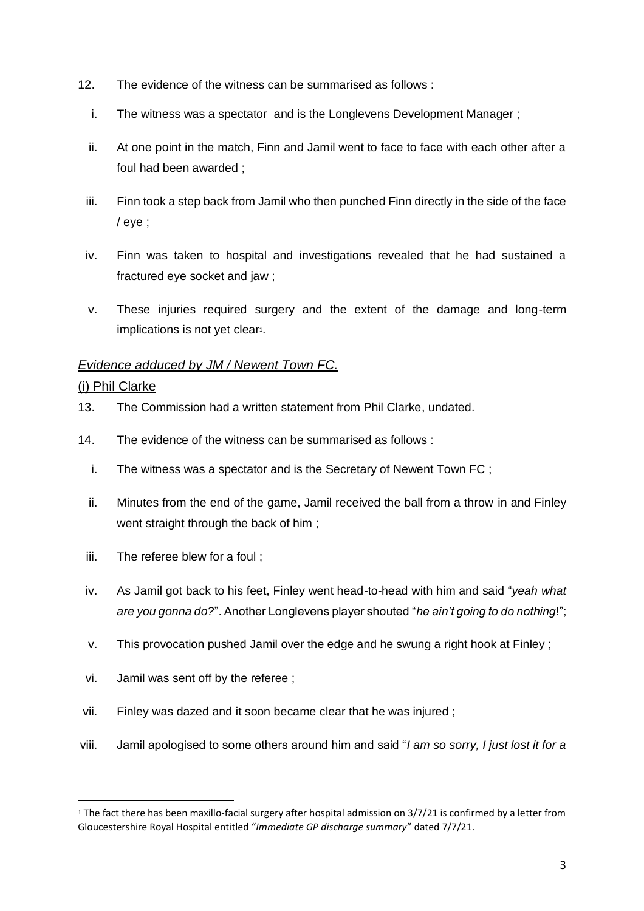- 12. The evidence of the witness can be summarised as follows :
	- i. The witness was a spectator and is the Longlevens Development Manager ;
	- ii. At one point in the match, Finn and Jamil went to face to face with each other after a foul had been awarded ;
	- iii. Finn took a step back from Jamil who then punched Finn directly in the side of the face / eye ;
- iv. Finn was taken to hospital and investigations revealed that he had sustained a fractured eye socket and jaw ;
- v. These injuries required surgery and the extent of the damage and long-term implications is not yet clear<sup>1</sup>.

#### *Evidence adduced by JM / Newent Town FC.*

#### (i) Phil Clarke

- 13. The Commission had a written statement from Phil Clarke, undated.
- 14. The evidence of the witness can be summarised as follows :
	- i. The witness was a spectator and is the Secretary of Newent Town FC ;
	- ii. Minutes from the end of the game, Jamil received the ball from a throw in and Finley went straight through the back of him ;
	- iii. The referee blew for a foul ;
	- iv. As Jamil got back to his feet, Finley went head-to-head with him and said "*yeah what are you gonna do?*". Another Longlevens player shouted "*he ain't going to do nothing*!";
	- v. This provocation pushed Jamil over the edge and he swung a right hook at Finley ;
- vi. Jamil was sent off by the referee ;
- vii. Finley was dazed and it soon became clear that he was injured ;
- viii. Jamil apologised to some others around him and said "*I am so sorry, I just lost it for a*

<sup>1</sup> The fact there has been maxillo-facial surgery after hospital admission on 3/7/21 is confirmed by a letter from Gloucestershire Royal Hospital entitled "*Immediate GP discharge summary*" dated 7/7/21.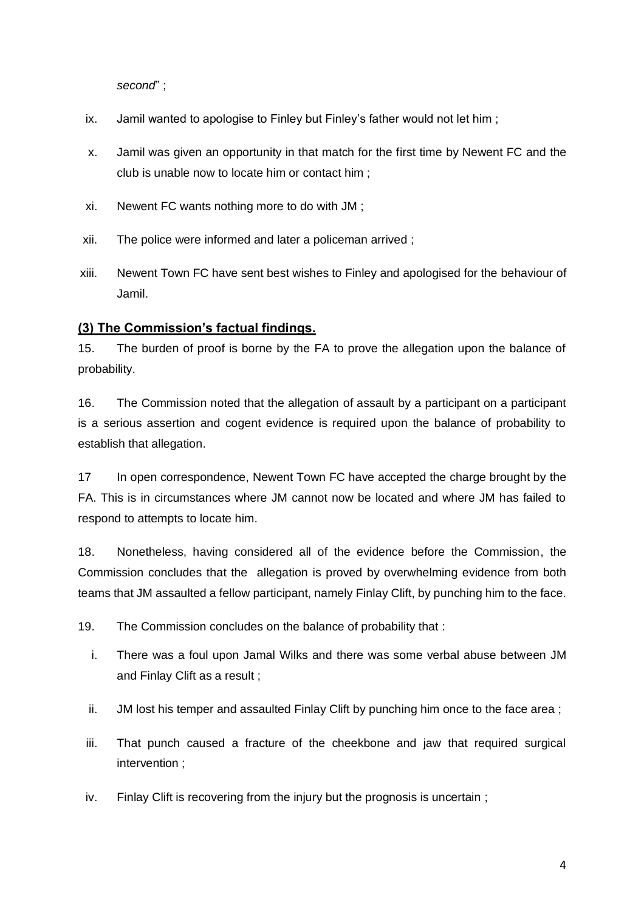*second*" ;

- ix. Jamil wanted to apologise to Finley but Finley's father would not let him ;
- x. Jamil was given an opportunity in that match for the first time by Newent FC and the club is unable now to locate him or contact him ;
- xi. Newent FC wants nothing more to do with JM ;
- xii. The police were informed and later a policeman arrived ;
- xiii. Newent Town FC have sent best wishes to Finley and apologised for the behaviour of Jamil.

#### **(3) The Commission's factual findings.**

15. The burden of proof is borne by the FA to prove the allegation upon the balance of probability.

16. The Commission noted that the allegation of assault by a participant on a participant is a serious assertion and cogent evidence is required upon the balance of probability to establish that allegation.

17 In open correspondence, Newent Town FC have accepted the charge brought by the FA. This is in circumstances where JM cannot now be located and where JM has failed to respond to attempts to locate him.

18. Nonetheless, having considered all of the evidence before the Commission, the Commission concludes that the allegation is proved by overwhelming evidence from both teams that JM assaulted a fellow participant, namely Finlay Clift, by punching him to the face.

19. The Commission concludes on the balance of probability that :

- i. There was a foul upon Jamal Wilks and there was some verbal abuse between JM and Finlay Clift as a result ;
- ii. JM lost his temper and assaulted Finlay Clift by punching him once to the face area ;
- iii. That punch caused a fracture of the cheekbone and jaw that required surgical intervention ;
- iv. Finlay Clift is recovering from the injury but the prognosis is uncertain ;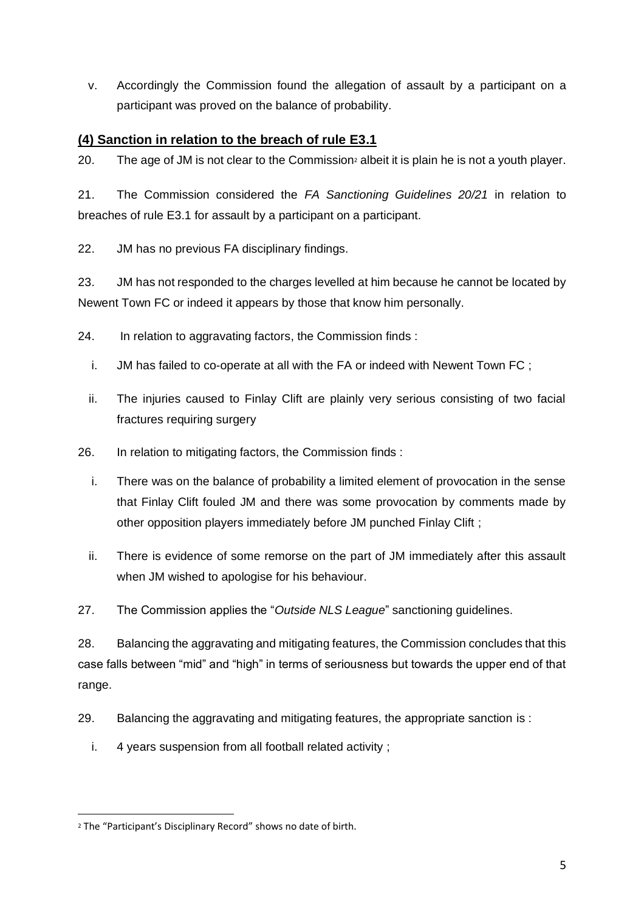v. Accordingly the Commission found the allegation of assault by a participant on a participant was proved on the balance of probability.

# **(4) Sanction in relation to the breach of rule E3.1**

20. The age of JM is not clear to the Commission<sup>2</sup> albeit it is plain he is not a youth player.

21. The Commission considered the *FA Sanctioning Guidelines 20/21* in relation to breaches of rule E3.1 for assault by a participant on a participant.

22. JM has no previous FA disciplinary findings.

23. JM has not responded to the charges levelled at him because he cannot be located by Newent Town FC or indeed it appears by those that know him personally.

- 24. In relation to aggravating factors, the Commission finds :
	- i. JM has failed to co-operate at all with the FA or indeed with Newent Town FC ;
	- ii. The injuries caused to Finlay Clift are plainly very serious consisting of two facial fractures requiring surgery
- 26. In relation to mitigating factors, the Commission finds :
	- i. There was on the balance of probability a limited element of provocation in the sense that Finlay Clift fouled JM and there was some provocation by comments made by other opposition players immediately before JM punched Finlay Clift ;
	- ii. There is evidence of some remorse on the part of JM immediately after this assault when JM wished to apologise for his behaviour.
- 27. The Commission applies the "*Outside NLS League*" sanctioning guidelines.

28. Balancing the aggravating and mitigating features, the Commission concludes that this case falls between "mid" and "high" in terms of seriousness but towards the upper end of that range.

- 29. Balancing the aggravating and mitigating features, the appropriate sanction is :
	- i. 4 years suspension from all football related activity ;

<sup>2</sup> The "Participant's Disciplinary Record" shows no date of birth.